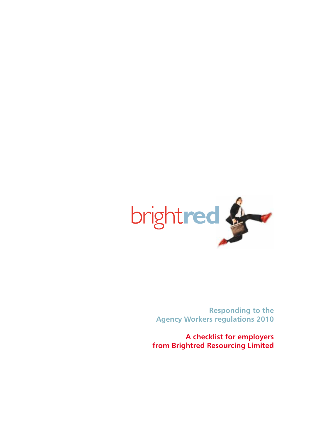

**Responding to the Agency Workers regulations 2010**

**A checklist for employers from Brightred Resourcing Limited**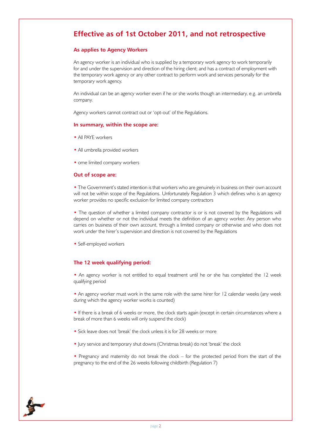# **Effective as of 1st October 2011, and not retrospective**

# **As applies to Agency Workers**

An agency worker is an individual who is supplied by a temporary work agency to work temporarily for and under the supervision and direction of the hiring client; and has a contract of employment with the temporary work agency or any other contract to perform work and services personally for the temporary work agency.

An individual can be an agency worker even if he or she works though an intermediary, e.g. an umbrella company.

Agency workers cannot contract out or 'opt-out' of the Regulations.

### **In summary, within the scope are:**

- All PAYE workers
- All umbrella provided workers
- ome limited company workers

#### **Out of scope are:**

• The Government's stated intention is that workers who are genuinely in business on their own account will not be within scope of the Regulations. Unfortunately Regulation 3 which defines who is an agency worker provides no specific exclusion for limited company contractors

• The question of whether a limited company contractor is or is not covered by the Regulations will depend on whether or not the individual meets the definition of an agency worker. Any person who carries on business of their own account, through a limited company or otherwise and who does not work under the hirer's supervision and direction is not covered by the Regulations

• Self-employed workers

## **The 12 week qualifying period:**

• An agency worker is not entitled to equal treatment until he or she has completed the 12 week qualifying period

• An agency worker must work in the same role with the same hirer for 12 calendar weeks (any week during which the agency worker works is counted)

• If there is a break of 6 weeks or more, the clock starts again (except in certain circumstances where a break of more than 6 weeks will only suspend the clock)

- Sick leave does not 'break' the clock unless it is for 28 weeks or more
- Jury service and temporary shut downs (Christmas break) do not 'break' the clock
- Pregnancy and maternity do not break the clock for the protected period from the start of the pregnancy to the end of the 26 weeks following childbirth (Regulation 7)

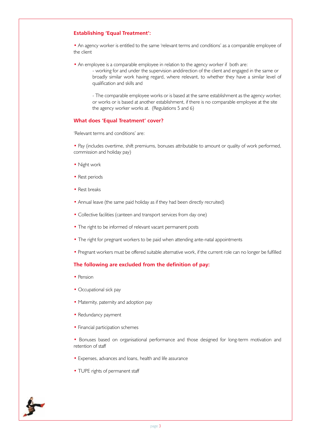# **Establishing 'Equal Treatment':**

• An agency worker is entitled to the same 'relevant terms and conditions' as a comparable employee of the client

• An employee is a comparable employee in relation to the agency worker if both are:

- working for and under the supervision anddirection of the client and engaged in the same or broadly similar work having regard, where relevant, to whether they have a similar level of qualification and skills and

- The comparable employee works or is based at the same establishment as the agency worker, or works or is based at another establishment, if there is no comparable employee at the site the agency worker works at. (Regulations 5 and 6)

## **What does 'Equal Treatment' cover?**

'Relevant terms and conditions' are:

• Pay (includes overtime, shift premiums, bonuses attributable to amount or quality of work performed, commission and holiday pay)

- Night work
- Rest periods
- Rest breaks
- Annual leave (the same paid holiday as if they had been directly recruited)
- Collective facilities (canteen and transport services from day one)
- The right to be informed of relevant vacant permanent posts
- The right for pregnant workers to be paid when attending ante-natal appointments
- Pregnant workers must be offered suitable alternative work, if the current role can no longer be fulfilled

# **The following are excluded from the definition of pay:**

- Pension
- Occupational sick pay
- Maternity, paternity and adoption pay
- Redundancy payment
- Financial participation schemes
- Bonuses based on organisational performance and those designed for long-term motivation and retention of staff
- Expenses, advances and loans, health and life assurance
- TUPE rights of permanent staff

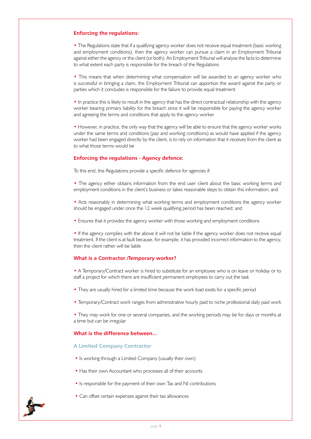# **Enforcing the regulations:**

• The Regulations state that if a qualifying agency worker does not receive equal treatment (basic working and employment conditions), then the agency worker can pursue a claim in an Employment Tribunal against either the agency or the client (or both). An Employment Tribunal will analyse the facts to determine to what extent each party is responsible for the breach of the Regulations

• This means that when determining what compensation will be awarded to an agency worker who is successful in bringing a claim, the Employment Tribunal can apportion the award against the party or parties which it concludes is responsible for the failure to provide equal treatment

• In practice this is likely to result in the agency that has the direct contractual relationship with the agency worker bearing primary liability for the breach since it will be responsible for paying the agency worker and agreeing the terms and conditions that apply to the agency worker

• However, in practice, the only way that the agency will be able to ensure that the agency worker works under the same terms and conditions (pay and working conditions) as would have applied if the agency worker had been engaged directly by the client, is to rely on information that it receives from the client as to what those terms would be

# **Enforcing the regulations - Agency defence:**

To this end, the Regulations provide a specific defence for agencies if:

• The agency either obtains information from the end user client about the basic working terms and employment conditions in the client's business or takes reasonable steps to obtain this information; and

• Acts reasonably in determining what working terms and employment conditions the agency worker should be engaged under once the 12 week qualifying period has been reached; and

• Ensures that it provides the agency worker with those working and employment conditions

• If the agency complies with the above it will not be liable if the agency worker does not receive equal treatment. If the client is at fault because, for example, it has provided incorrect information to the agency, then the client rather will be liable

# **What is a Contractor /Temporary worker?**

• A Temporary/Contract worker is hired to substitute for an employee who is on leave or holiday or to staff a project for which there are insufficient permanent employees to carry out the task

- They are usually hired for a limited time because the work load exists for a specific period
- Temporary/Contract work ranges from administrative hourly paid to niche professional daily paid work

• They may work for one or several companies, and the working periods may be for days or months at a time but can be irregular

# **What is the difference between...**

## **A Limited Company Contractor**

- Is working through a Limited Company (usually their own)
- Has their own Accountant who processes all of their accounts
- Is responsible for the payment of their own Tax and NI contributions
- Can offset certain expenses against their tax allowances

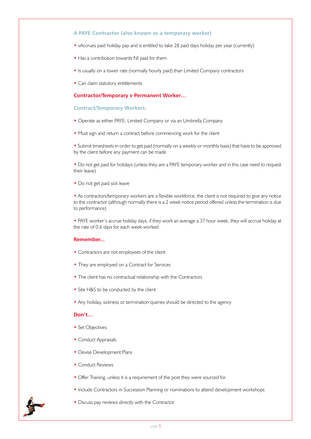## **A PAYE Contractor (also known as a temporary worker)**

- vAccrues paid holiday pay and is entitled to take 28 paid days holiday per year (currently)
- Has a contribution towards NI paid for them
- Is usually on a lower rate (normally hourly paid) than Limited Company contractors
- Can claim statutory entitlements

### **Contractor/Temporary v Permanent Worker…**

### **Contract/Temporary Workers:**

- Operate as either PAYE, Limited Company or via an Umbrella Company
- Must sign and return a contract before commencing work for the client

• Submit timesheets in order to get paid (normally on a weekly or monthly basis) that have to be approved by the client before any payment can be made

• Do not get paid for holidays (unless they are a PAYE temporary worker and in this case need to request their leave)

• Do not get paid sick leave

• As contractors/temporary workers are a flexible workforce, the client is not required to give any notice to the contractor (although normally there is a 2 week notice period offered unless the termination is due to performance)

• PAYE worker's accrue holiday days, if they work an average a 37 hour week, they will accrue holiday at the rate of 0.6 days for each week worked

## **Remember...**

- Contractors are not employees of the client
- They are employed on a Contract for Services
- The client has no contractual relationship with the Contractors
- Site H&S to be conducted by the client
- Any holiday, sickness or termination queries should be directed to the agency

## **Don't…**

- Set Objectives
- Conduct Appraisals
- Devise Development Plans
- Conduct Reviews
- Offer Training, unless it is a requirement of the post they were sourced for
- Include Contractors in Succession Planning or nominations to attend development workshops
- Discuss pay reviews directly with the Contractor